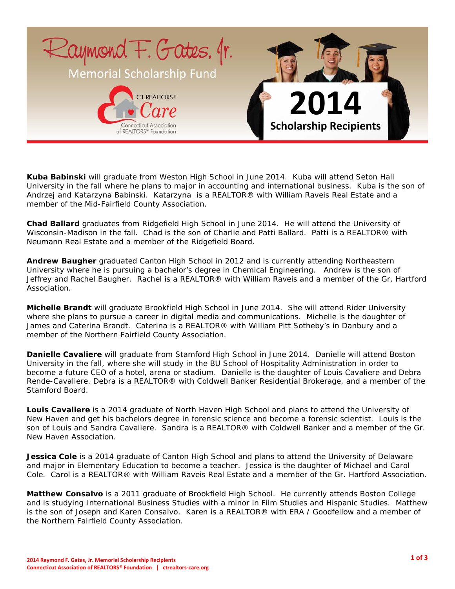

**Kuba Babinski** will graduate from Weston High School in June 2014. Kuba will attend Seton Hall University in the fall where he plans to major in accounting and international business. Kuba is the son of Andrzej and Katarzyna Babinski. Katarzyna is a REALTOR® with William Raveis Real Estate and a member of the Mid-Fairfield County Association.

**Chad Ballard** graduates from Ridgefield High School in June 2014. He will attend the University of Wisconsin-Madison in the fall. Chad is the son of Charlie and Patti Ballard. Patti is a REALTOR® with Neumann Real Estate and a member of the Ridgefield Board.

**Andrew Baugher** graduated Canton High School in 2012 and is currently attending Northeastern University where he is pursuing a bachelor's degree in Chemical Engineering. Andrew is the son of Jeffrey and Rachel Baugher. Rachel is a REALTOR® with William Raveis and a member of the Gr. Hartford Association.

**Michelle Brandt** will graduate Brookfield High School in June 2014. She will attend Rider University where she plans to pursue a career in digital media and communications. Michelle is the daughter of James and Caterina Brandt. Caterina is a REALTOR® with William Pitt Sotheby's in Danbury and a member of the Northern Fairfield County Association.

**Danielle Cavaliere** will graduate from Stamford High School in June 2014. Danielle will attend Boston University in the fall, where she will study in the BU School of Hospitality Administration in order to become a future CEO of a hotel, arena or stadium. Danielle is the daughter of Louis Cavaliere and Debra Rende-Cavaliere. Debra is a REALTOR® with Coldwell Banker Residential Brokerage, and a member of the Stamford Board.

**Louis Cavaliere** is a 2014 graduate of North Haven High School and plans to attend the University of New Haven and get his bachelors degree in forensic science and become a forensic scientist. Louis is the son of Louis and Sandra Cavaliere. Sandra is a REALTOR® with Coldwell Banker and a member of the Gr. New Haven Association.

**Jessica Cole** is a 2014 graduate of Canton High School and plans to attend the University of Delaware and major in Elementary Education to become a teacher. Jessica is the daughter of Michael and Carol Cole. Carol is a REALTOR® with William Raveis Real Estate and a member of the Gr. Hartford Association.

**Matthew Consalvo** is a 2011 graduate of Brookfield High School. He currently attends Boston College and is studying International Business Studies with a minor in Film Studies and Hispanic Studies. Matthew is the son of Joseph and Karen Consalvo. Karen is a REALTOR® with ERA / Goodfellow and a member of the Northern Fairfield County Association.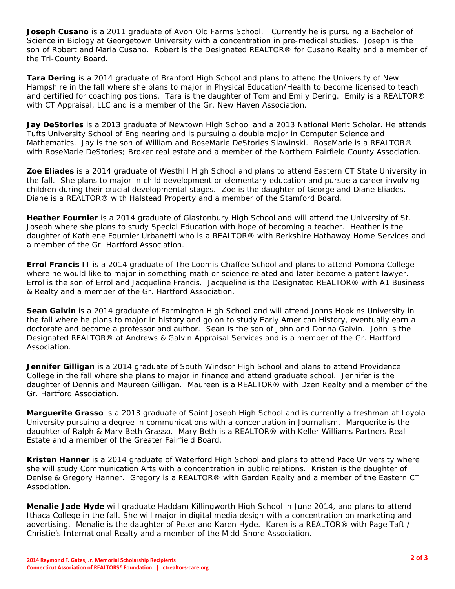**Joseph Cusano** is a 2011 graduate of Avon Old Farms School. Currently he is pursuing a Bachelor of Science in Biology at Georgetown University with a concentration in pre-medical studies. Joseph is the son of Robert and Maria Cusano. Robert is the Designated REALTOR® for Cusano Realty and a member of the Tri-County Board.

**Tara Dering** is a 2014 graduate of Branford High School and plans to attend the University of New Hampshire in the fall where she plans to major in Physical Education/Health to become licensed to teach and certified for coaching positions. Tara is the daughter of Tom and Emily Dering. Emily is a REALTOR® with CT Appraisal, LLC and is a member of the Gr. New Haven Association.

**Jay DeStories** is a 2013 graduate of Newtown High School and a 2013 National Merit Scholar. He attends Tufts University School of Engineering and is pursuing a double major in Computer Science and Mathematics. Jay is the son of William and RoseMarie DeStories Slawinski. RoseMarie is a REALTOR® with RoseMarie DeStories; Broker real estate and a member of the Northern Fairfield County Association.

**Zoe Eliades** is a 2014 graduate of Westhill High School and plans to attend Eastern CT State University in the fall. She plans to major in child development or elementary education and pursue a career involving children during their crucial developmental stages. Zoe is the daughter of George and Diane Eliades. Diane is a REALTOR® with Halstead Property and a member of the Stamford Board.

**Heather Fournier** is a 2014 graduate of Glastonbury High School and will attend the University of St. Joseph where she plans to study Special Education with hope of becoming a teacher. Heather is the daughter of Kathlene Fournier Urbanetti who is a REALTOR® with Berkshire Hathaway Home Services and a member of the Gr. Hartford Association.

**Errol Francis II** is a 2014 graduate of The Loomis Chaffee School and plans to attend Pomona College where he would like to major in something math or science related and later become a patent lawyer. Errol is the son of Errol and Jacqueline Francis. Jacqueline is the Designated REALTOR® with A1 Business & Realty and a member of the Gr. Hartford Association.

**Sean Galvin** is a 2014 graduate of Farmington High School and will attend Johns Hopkins University in the fall where he plans to major in history and go on to study Early American History, eventually earn a doctorate and become a professor and author. Sean is the son of John and Donna Galvin. John is the Designated REALTOR® at Andrews & Galvin Appraisal Services and is a member of the Gr. Hartford Association.

**Jennifer Gilligan** is a 2014 graduate of South Windsor High School and plans to attend Providence College in the fall where she plans to major in finance and attend graduate school. Jennifer is the daughter of Dennis and Maureen Gilligan. Maureen is a REALTOR® with Dzen Realty and a member of the Gr. Hartford Association.

**Marguerite Grasso** is a 2013 graduate of Saint Joseph High School and is currently a freshman at Loyola University pursuing a degree in communications with a concentration in Journalism. Marguerite is the daughter of Ralph & Mary Beth Grasso. Mary Beth is a REALTOR® with Keller Williams Partners Real Estate and a member of the Greater Fairfield Board.

**Kristen Hanner** is a 2014 graduate of Waterford High School and plans to attend Pace University where she will study Communication Arts with a concentration in public relations. Kristen is the daughter of Denise & Gregory Hanner. Gregory is a REALTOR® with Garden Realty and a member of the Eastern CT Association.

**Menalie Jade Hyde** will graduate Haddam Killingworth High School in June 2014, and plans to attend Ithaca College in the fall. She will major in digital media design with a concentration on marketing and advertising. Menalie is the daughter of Peter and Karen Hyde. Karen is a REALTOR® with Page Taft / Christie's International Realty and a member of the Midd-Shore Association.